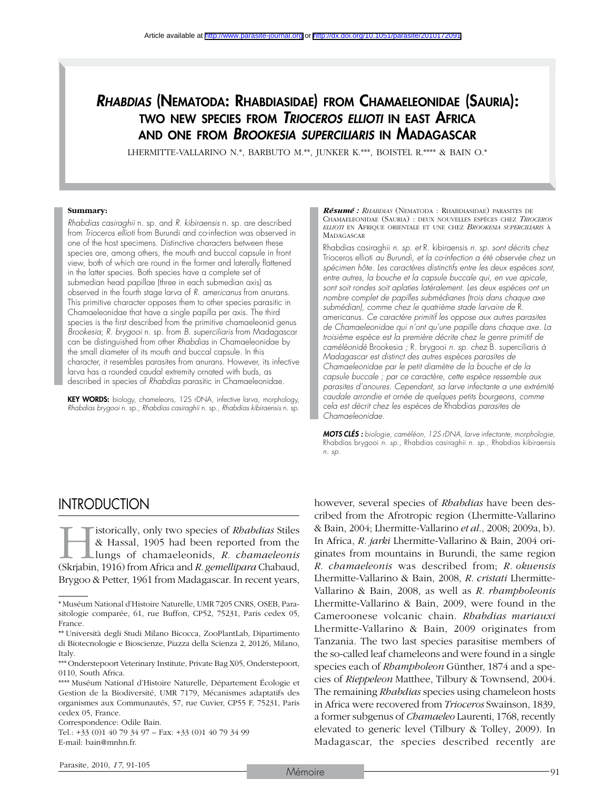# *Rhabdias* (Nematoda: Rhabdiasidae) from Chamaeleonidae (Sauria): two new species from *Trioceros ellioti* in east Africa and one from *Brookesia superciliaris* in Madagascar

LHERMITTE-VALLARINO N.\*, BARBUTO M.\*\*, JUNKER K.\*\*\*, BOISTEL R.\*\*\*\* & BAIN O.\*

#### **Summary:**

*Rhabdias casiraghii* n. sp. and *R. kibiraensis* n. sp. are described from *Trioceros ellioti* from Burundi and co-infection was observed in one of the host specimens. Distinctive characters between these species are, among others, the mouth and buccal capsule in front view, both of which are round in the former and laterally flattened in the latter species. Both species have a complete set of submedian head papillae (three in each submedian axis) as observed in the fourth stage larva of *R. americanus* from anurans. This primitive character opposes them to other species parasitic in Chamaeleonidae that have a single papilla per axis. The third species is the first described from the primitive chamaeleonid genus *Brookesia*; *R. brygooi* n. sp. from *B. superciliaris* from Madagascar can be distinguished from other *Rhabdias* in Chamaeleonidae by the small diameter of its mouth and buccal capsule. In this character, it resembles parasites from anurans. However, its infective larva has a rounded caudal extremity ornated with buds, as described in species of *Rhabdias* parasitic in Chamaeleonidae.

KEY WORDS: biology, chameleons, 12S rDNA, infective larva, morphology, *Rhabdias brygooi* n. sp., *Rhabdias casiraghii* n. sp., *Rhabdias kibiraensis* n. sp.

*Résumé : Rhabdias* (Nematoda : Rhabdiasidae) parasites de Chamaeleonidae (Sauria) : deux nouvelles espèces chez *Trioceros ellioti* en Afrique orientale et une chez *Brookesia superciliaris* à **MADAGASCAR** 

Rhabdias casiraghii *n. sp. et* R. kibiraensis *n. sp. sont décrits chez*  Trioceros ellioti *au Burundi, et la co-infection a été observée chez un spécimen hôte. Les caractères distinctifs entre les deux espèces sont, entre autres, la bouche et la capsule buccale qui, en vue apicale,*  sont soit rondes soit aplaties latéralement. Les deux espèces ont un *nombre complet de papilles submédianes (trois dans chaque axe submédian), comme chez le quatrième stade larvaire de* R. americanus*. Ce caractère primitif les oppose aux autres parasites de Chamaeleonidae qui n'ont qu'une papille dans chaque axe. La troisième espèce est la première décrite chez le genre primitif de caméléonidé* Brookesia *;* R. brygooi *n. sp. chez* B. superciliaris *à Madagascar est distinct des autres espèces parasites de Chamaeleonidae par le petit diamètre de la bouche et de la capsule buccale ; par ce caractère, cette espèce ressemble aux parasites d'anoures. Cependant, sa larve infectante a une extrémité caudale arrondie et ornée de quelques petits bourgeons, comme cela est décrit chez les espèces de* Rhabdias *parasites de Chamaeleonidae.*

*Mots clés : biologie, caméléon, 12S rDNA, larve infectante, morphologie,*  Rhabdias brygooi *n. sp.,* Rhabdias casiraghii *n. sp.,* Rhabdias kibiraensis *n. sp.*

# **INTRODUCTION**

istorically, only two species of *Rhabdias* Stiles & Hassal, 1905 had been reported from the lungs of chamaeleonids, *R. chamaeleonis* (Skrjabin, 1916) from Africa and *R. gemellipara* Chabaud, Brygoo & Petter, 1961 from Madagascar. In recent years,

Correspondence: Odile Bain.

Tel.: +33 (0)1 40 79 34 97 – Fax: +33 (0)1 40 79 34 99 E-mail: bain@mnhn.fr.

however, several species of *Rhabdias* have been described from the Afrotropic region (Lhermitte-Vallarino & Bain, 2004; Lhermitte-Vallarino *et al*., 2008; 2009a, b). In Africa, *R. jarki* Lhermitte-Vallarino & Bain, 2004 originates from mountains in Burundi, the same region *R. chamaeleonis* was described from; *R. okuensis* Lhermitte-Vallarino & Bain, 2008, *R. cristati* Lhermitte-Vallarino & Bain, 2008, as well as *R. rhampholeonis* Lhermitte-Vallarino & Bain, 2009, were found in the Cameroonese volcanic chain. *Rhabdias mariauxi* Lhermitte-Vallarino & Bain, 2009 originates from Tanzania. The two last species parasitise members of the so-called leaf chameleons and were found in a single species each of *Rhampholeon* Günther, 1874 and a species of *Rieppeleon* Matthee, Tilbury & Townsend, 2004. The remaining *Rhabdias* species using chameleon hosts in Africa were recovered from *Trioceros* Swainson, 1839, a former subgenus of *Chamaeleo* Laurenti, 1768, recently elevated to generic level (Tilbury & Tolley, 2009). In Madagascar, the species described recently are

<sup>\*</sup> Muséum National d'Histoire Naturelle, UMR 7205 CNRS, OSEB, Parasitologie comparée, 61, rue Buffon, CP52, 75231, Paris cedex 05, France.

<sup>\*\*</sup> Università degli Studi Milano Bicocca, ZooPlantLab, Dipartimento di Biotecnologie e Bioscienze, Piazza della Scienza 2, 20126, Milano, Italy.

<sup>\*\*\*</sup>Onderstepoort Veterinary Institute, Private Bag X05, Onderstepoort, 0110, South Africa.

<sup>\*\*\*\*</sup> Muséum National d'Histoire Naturelle, Département Écologie et Gestion de la Biodiversité, UMR 7179, Mécanismes adaptatifs des organismes aux Communautés, 57, rue Cuvier, CP55 F, 75231, Paris cedex 05, France.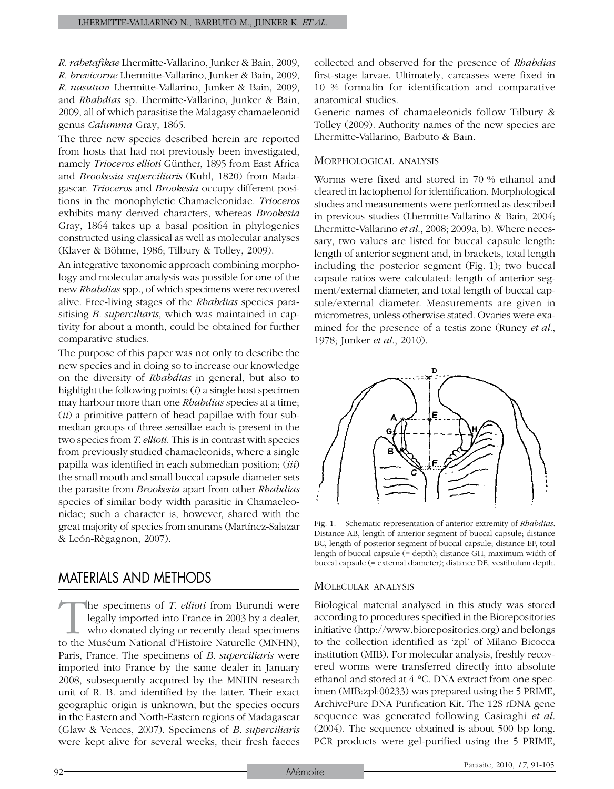*R.rabetafikae* Lhermitte-Vallarino, Junker & Bain, 2009, *R. brevicorne* Lhermitte-Vallarino, Junker & Bain, 2009, *R. nasutum* Lhermitte-Vallarino, Junker & Bain, 2009, and *Rhabdias* sp. Lhermitte-Vallarino, Junker & Bain, 2009, all of which parasitise the Malagasy chamaeleonid genus *Calumma* Gray, 1865.

The three new species described herein are reported from hosts that had not previously been investigated, namely *Trioceros ellioti* Günther, 1895 from East Africa and *Brookesia superciliaris* (Kuhl, 1820) from Madagascar. *Trioceros* and *Brookesia* occupy different positions in the monophyletic Chamaeleonidae. *Trioceros* exhibits many derived characters, whereas *Brookesia* Gray, 1864 takes up a basal position in phylogenies constructed using classical as well as molecular analyses (Klaver & Böhme, 1986; Tilbury & Tolley, 2009).

An integrative taxonomic approach combining morphology and molecular analysis was possible for one of the new *Rhabdias* spp., of which specimens were recovered alive. Free-living stages of the *Rhabdias* species parasitising *B. superciliaris*, which was maintained in captivity for about a month, could be obtained for further comparative studies.

The purpose of this paper was not only to describe the new species and in doing so to increase our knowledge on the diversity of *Rhabdias* in general, but also to highlight the following points: (*i*) a single host specimen may harbour more than one *Rhabdias* species at a time; (*ii*) a primitive pattern of head papillae with four submedian groups of three sensillae each is present in the two species from *T. ellioti*. This is in contrast with species from previously studied chamaeleonids, where a single papilla was identified in each submedian position; (*iii*) the small mouth and small buccal capsule diameter sets the parasite from *Brookesia* apart from other *Rhabdias* species of similar body width parasitic in Chamaeleonidae; such a character is, however, shared with the great majority of species from anurans (Martínez-Salazar & León-Règagnon, 2007).

# Materials and Methods

The specimens of *T. ellioti* from Burundi were legally imported into France in 2003 by a dealer, who donated dying or recently dead specimens to the Muséum National d'Histoire Naturelle (MNHN), Paris, France. The specimens of *B. superciliaris* were imported into France by the same dealer in January 2008, subsequently acquired by the MNHN research unit of R. B. and identified by the latter. Their exact geographic origin is unknown, but the species occurs in the Eastern and North-Eastern regions of Madagascar (Glaw & Vences, 2007). Specimens of *B. superciliaris* were kept alive for several weeks, their fresh faeces collected and observed for the presence of *Rhabdias* first-stage larvae. Ultimately, carcasses were fixed in 10 % formalin for identification and comparative anatomical studies.

Generic names of chamaeleonids follow Tilbury & Tolley (2009). Authority names of the new species are Lhermitte-Vallarino, Barbuto & Bain.

## Morphological analysis

Worms were fixed and stored in 70 % ethanol and cleared in lactophenol for identification. Morphological studies and measurements were performed as described in previous studies (Lhermitte-Vallarino & Bain, 2004; Lhermitte-Vallarino *et al*., 2008; 2009a, b). Where necessary, two values are listed for buccal capsule length: length of anterior segment and, in brackets, total length including the posterior segment (Fig. 1); two buccal capsule ratios were calculated: length of anterior segment/external diameter, and total length of buccal capsule/external diameter. Measurements are given in micrometres, unless otherwise stated. Ovaries were examined for the presence of a testis zone (Runey *et al*., 1978; Junker *et al*., 2010).



Fig. 1. – Schematic representation of anterior extremity of *Rhabdias*. Distance AB, length of anterior segment of buccal capsule; distance BC, length of posterior segment of buccal capsule; distance EF, total length of buccal capsule (= depth); distance GH, maximum width of buccal capsule (= external diameter); distance DE, vestibulum depth.

## Molecular analysis

Biological material analysed in this study was stored according to procedures specified in the Biorepositories initiative (http://www.biorepositories.org) and belongs to the collection identified as 'zpl' of Milano Bicocca institution (MIB). For molecular analysis, freshly recovered worms were transferred directly into absolute ethanol and stored at 4 °C. DNA extract from one specimen (MIB:zpl:00233) was prepared using the 5 PRIME, ArchivePure DNA Purification Kit. The 12S rDNA gene sequence was generated following Casiraghi *et al*. (2004). The sequence obtained is about 500 bp long. PCR products were gel-purified using the 5 PRIME,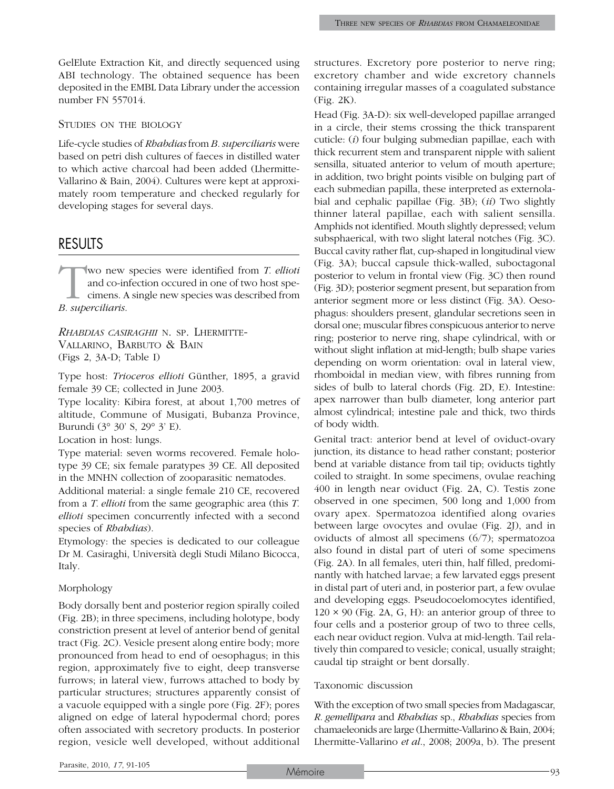GelElute Extraction Kit, and directly sequenced using ABI technology. The obtained sequence has been deposited in the EMBL Data Library under the accession number FN 557014.

## Studies on the biology

Life-cycle studies of *Rhabdias* from *B. superciliaris* were based on petri dish cultures of faeces in distilled water to which active charcoal had been added (Lhermitte-Vallarino & Bain, 2004). Cultures were kept at approximately room temperature and checked regularly for developing stages for several days.

## **RESULTS**

Wo new species were identified from *T. ellioti* and co-infection occured in one of two host specimens. A single new species was described from *B. suberciliaris*. and co-infection occured in one of two host specimens. A single new species was described from *B. superciliaris*.

*Rhabdias casiraghii* n. sp. Lhermitte-Vallarino, Barbuto & Bain (Figs 2, 3A-D; Table I)

Type host: *Trioceros ellioti* Günther, 1895, a gravid female 39 CE; collected in June 2003.

Type locality: Kibira forest, at about 1,700 metres of altitude, Commune of Musigati, Bubanza Province, Burundi (3° 30' S, 29° 3' E).

Location in host: lungs.

Type material: seven worms recovered. Female holotype 39 CE; six female paratypes 39 CE. All deposited in the MNHN collection of zooparasitic nematodes.

Additional material: a single female 210 CE, recovered from a *T. ellioti* from the same geographic area (this *T. ellioti* specimen concurrently infected with a second species of *Rhabdias*).

Etymology: the species is dedicated to our colleague Dr M. Casiraghi, Università degli Studi Milano Bicocca, Italy.

#### Morphology

Body dorsally bent and posterior region spirally coiled (Fig. 2B); in three specimens, including holotype, body constriction present at level of anterior bend of genital tract (Fig. 2C). Vesicle present along entire body; more pronounced from head to end of oesophagus; in this region, approximately five to eight, deep transverse furrows; in lateral view, furrows attached to body by particular structures; structures apparently consist of a vacuole equipped with a single pore (Fig. 2F); pores aligned on edge of lateral hypodermal chord; pores often associated with secretory products. In posterior region, vesicle well developed, without additional structures. Excretory pore posterior to nerve ring; excretory chamber and wide excretory channels containing irregular masses of a coagulated substance (Fig. 2K).

Head (Fig. 3A-D): six well-developed papillae arranged in a circle, their stems crossing the thick transparent cuticle: (*i*) four bulging submedian papillae, each with thick recurrent stem and transparent nipple with salient sensilla, situated anterior to velum of mouth aperture; in addition, two bright points visible on bulging part of each submedian papilla, these interpreted as externolabial and cephalic papillae (Fig. 3B); (*ii*) Two slightly thinner lateral papillae, each with salient sensilla. Amphids not identified. Mouth slightly depressed; velum subsphaerical, with two slight lateral notches (Fig. 3C). Buccal cavity rather flat, cup-shaped in longitudinal view (Fig. 3A); buccal capsule thick-walled, suboctagonal posterior to velum in frontal view (Fig. 3C) then round (Fig. 3D); posterior segment present, but separation from anterior segment more or less distinct (Fig. 3A). Oesophagus: shoulders present, glandular secretions seen in dorsal one; muscular fibres conspicuous anterior to nerve ring; posterior to nerve ring, shape cylindrical, with or without slight inflation at mid-length; bulb shape varies depending on worm orientation: oval in lateral view, rhomboidal in median view, with fibres running from sides of bulb to lateral chords (Fig. 2D, E). Intestine: apex narrower than bulb diameter, long anterior part almost cylindrical; intestine pale and thick, two thirds of body width.

Genital tract: anterior bend at level of oviduct-ovary junction, its distance to head rather constant; posterior bend at variable distance from tail tip; oviducts tightly coiled to straight. In some specimens, ovulae reaching 400 in length near oviduct (Fig. 2A, C). Testis zone observed in one specimen, 500 long and 1,000 from ovary apex. Spermatozoa identified along ovaries between large ovocytes and ovulae (Fig. 2J), and in oviducts of almost all specimens (6/7); spermatozoa also found in distal part of uteri of some specimens (Fig. 2A). In all females, uteri thin, half filled, predominantly with hatched larvae; a few larvated eggs present in distal part of uteri and, in posterior part, a few ovulae and developing eggs. Pseudocoelomocytes identified,  $120 \times 90$  (Fig. 2A, G, H): an anterior group of three to four cells and a posterior group of two to three cells, each near oviduct region. Vulva at mid-length. Tail relatively thin compared to vesicle; conical, usually straight; caudal tip straight or bent dorsally.

#### Taxonomic discussion

With the exception of two small species from Madagascar, *R. gemellipara* and *Rhabdias* sp., *Rhabdias* species from chamaeleonids are large (Lhermitte-Vallarino & Bain, 2004; Lhermitte-Vallarino *et al*., 2008; 2009a, b). The present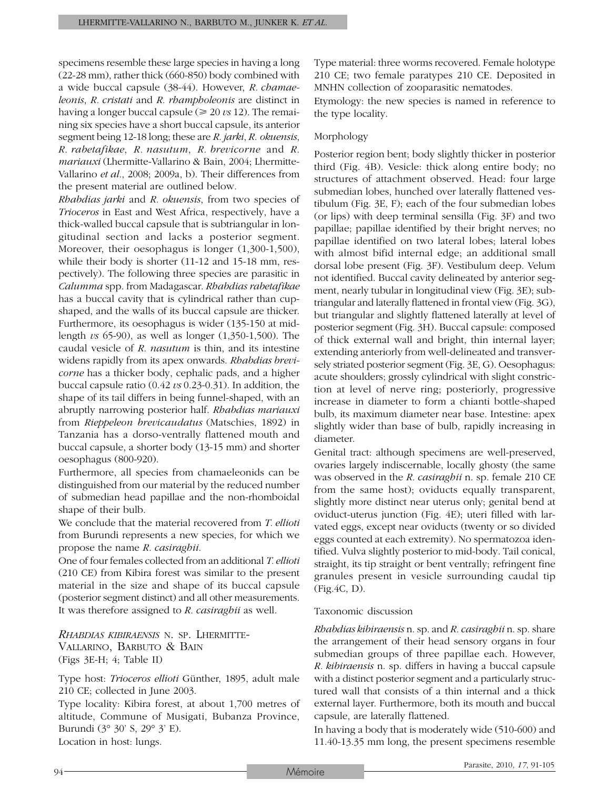specimens resemble these large species in having a long (22-28 mm), rather thick (660-850) body combined with a wide buccal capsule (38-44). However, *R. chamaeleonis*, *R. cristati* and *R. rhampholeonis* are distinct in having a longer buccal capsule ( $\geq 20 \text{ vs } 12$ ). The remaining six species have a short buccal capsule, its anterior segment being 12-18 long; these are *R. jarki*, *R. okuensis*, *R. rabetafikae*, *R. nasutum*, *R. brevicorne* and *R. mariauxi* (Lhermitte-Vallarino & Bain, 2004; Lhermitte-Vallarino *et al*., 2008; 2009a, b). Their differences from the present material are outlined below.

*Rhabdias jarki* and *R. okuensis*, from two species of *Trioceros* in East and West Africa, respectively, have a thick-walled buccal capsule that is subtriangular in longitudinal section and lacks a posterior segment. Moreover, their oesophagus is longer (1,300-1,500), while their body is shorter (11-12 and 15-18 mm, respectively). The following three species are parasitic in *Calumma* spp. from Madagascar. *Rhabdias rabetafikae* has a buccal cavity that is cylindrical rather than cupshaped, and the walls of its buccal capsule are thicker. Furthermore, its oesophagus is wider (135-150 at midlength *vs* 65-90), as well as longer (1,350-1,500). The caudal vesicle of *R. nasutum* is thin, and its intestine widens rapidly from its apex onwards. *Rhabdias brevicorne* has a thicker body, cephalic pads, and a higher buccal capsule ratio (0.42 *vs* 0.23-0.31). In addition, the shape of its tail differs in being funnel-shaped, with an abruptly narrowing posterior half. *Rhabdias mariauxi* from *Rieppeleon brevicaudatus* (Matschies, 1892) in Tanzania has a dorso-ventrally flattened mouth and buccal capsule, a shorter body (13-15 mm) and shorter oesophagus (800-920).

Furthermore, all species from chamaeleonids can be distinguished from our material by the reduced number of submedian head papillae and the non-rhomboidal shape of their bulb.

We conclude that the material recovered from *T. ellioti* from Burundi represents a new species, for which we propose the name *R. casiraghii*.

One of four females collected from an additional *T. ellioti*  (210 CE) from Kibira forest was similar to the present material in the size and shape of its buccal capsule (posterior segment distinct) and all other measurements. It was therefore assigned to *R. casiraghii* as well.

*Rhabdias kibiraensis* n. sp. Lhermitte- Vallarino, Barbuto & Bain (Figs 3E-H; 4; Table II)

Type host: *Trioceros ellioti* Günther, 1895, adult male 210 CE; collected in June 2003.

Type locality: Kibira forest, at about 1,700 metres of altitude, Commune of Musigati, Bubanza Province, Burundi (3° 30' S, 29° 3' E).

Location in host: lungs.

Type material: three worms recovered. Female holotype 210 CE; two female paratypes 210 CE. Deposited in MNHN collection of zooparasitic nematodes.

Etymology: the new species is named in reference to the type locality.

## Morphology

Posterior region bent; body slightly thicker in posterior third (Fig. 4B). Vesicle: thick along entire body; no structures of attachment observed. Head: four large submedian lobes, hunched over laterally flattened vestibulum (Fig. 3E, F); each of the four submedian lobes (or lips) with deep terminal sensilla (Fig. 3F) and two papillae; papillae identified by their bright nerves; no papillae identified on two lateral lobes; lateral lobes with almost bifid internal edge; an additional small dorsal lobe present (Fig. 3F). Vestibulum deep. Velum not identified. Buccal cavity delineated by anterior segment, nearly tubular in longitudinal view (Fig. 3E); subtriangular and laterally flattened in frontal view (Fig. 3G), but triangular and slightly flattened laterally at level of posterior segment (Fig. 3H). Buccal capsule: composed of thick external wall and bright, thin internal layer; extending anteriorly from well-delineated and transversely striated posterior segment (Fig. 3E, G). Oesophagus: acute shoulders; grossly cylindrical with slight constriction at level of nerve ring; posteriorly, progressive increase in diameter to form a chianti bottle-shaped bulb, its maximum diameter near base. Intestine: apex slightly wider than base of bulb, rapidly increasing in diameter.

Genital tract: although specimens are well-preserved, ovaries largely indiscernable, locally ghosty (the same was observed in the *R. casiraghii* n. sp. female 210 CE from the same host); oviducts equally transparent, slightly more distinct near uterus only; genital bend at oviduct-uterus junction (Fig. 4E); uteri filled with larvated eggs, except near oviducts (twenty or so divided eggs counted at each extremity). No spermatozoa identified. Vulva slightly posterior to mid-body. Tail conical, straight, its tip straight or bent ventrally; refringent fine granules present in vesicle surrounding caudal tip (Fig.4C, D).

## Taxonomic discussion

*Rhabdias kibiraensis* n. sp. and *R. casiraghii* n. sp. share the arrangement of their head sensory organs in four submedian groups of three papillae each. However, *R. kibiraensis* n. sp. differs in having a buccal capsule with a distinct posterior segment and a particularly structured wall that consists of a thin internal and a thick external layer. Furthermore, both its mouth and buccal capsule, are laterally flattened.

In having a body that is moderately wide (510-600) and 11.40-13.35 mm long, the present specimens resemble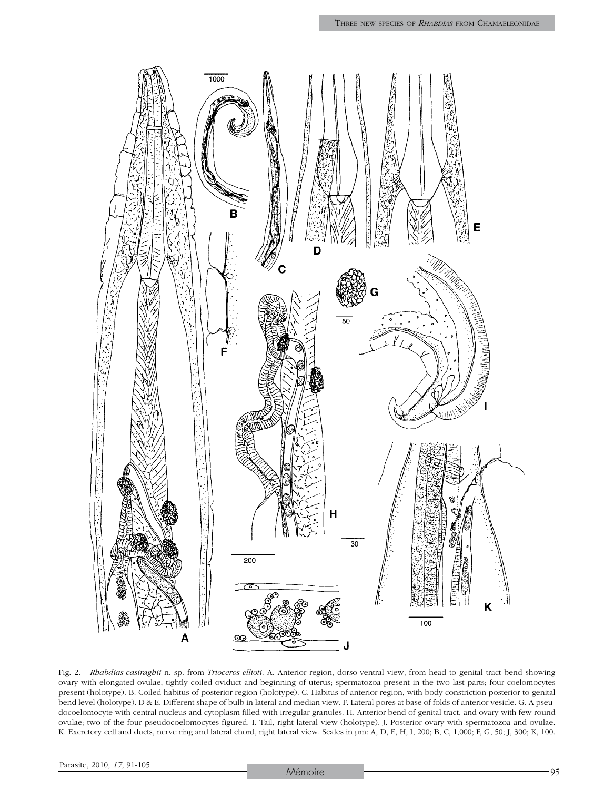

H

30

Fig. 2. – *Rhabdias casiraghii* n. sp. from *Trioceros ellioti*. A. Anterior region, dorso-ventral view, from head to genital tract bend showing ovary with elongated ovulae, tightly coiled oviduct and beginning of uterus; spermatozoa present in the two last parts; four coelomocytes present (holotype). B. Coiled habitus of posterior region (holotype). C. Habitus of anterior region, with body constriction posterior to genital bend level (holotype). D & E. Different shape of bulb in lateral and median view. F. Lateral pores at base of folds of anterior vesicle. G. A pseudocoelomocyte with central nucleus and cytoplasm filled with irregular granules. H. Anterior bend of genital tract, and ovary with few round ovulae; two of the four pseudocoelomocytes figured. I. Tail, right lateral view (holotype). J. Posterior ovary with spermatozoa and ovulae. K. Excretory cell and ducts, nerve ring and lateral chord, right lateral view. Scales in µm: A, D, E, H, I, 200; B, C, 1,000; F, G, 50; J, 300; K, 100.

200

 $\infty$ 

A

Κ

100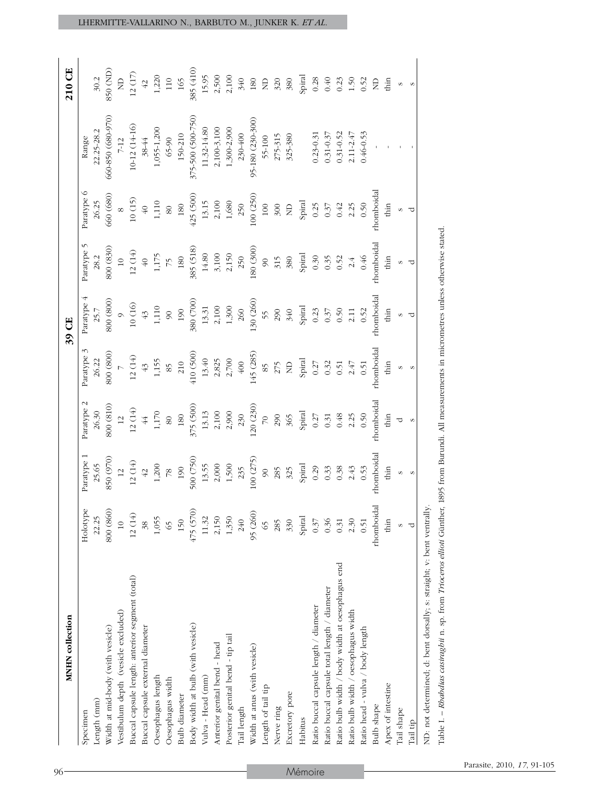| 375-500 (500-750)<br>660-850 (680-970)<br>95-180 (230-300)<br>$10-12(14-16)$<br>$2,100-3,100$<br>1,300-2,900<br>1,055-1,200<br>11.32-14.80<br>22.25-28.2<br>$150 - 210$<br>230-400<br>$0.31 - 0.52$<br>$0.46 - 0.53$<br>$2.11 - 2.47$<br>$0.23 - 0.31$<br>$0.31 - 0.37$<br>325-380<br>Paratype 6<br>560 (680)<br>425 (500)<br>100 (250)<br>$10(15)$<br>2,100<br>$1,\!680$<br>26.25<br>1,110<br>13.15<br>180<br>Spiral<br>250<br>0.50<br>100<br>300<br>0.25<br>2.25<br>$40$<br>$\Xi$<br>0.37<br>0.42<br>80<br>Paratype 5<br>800 <sub>(830)</sub><br>180 (300)<br>385 (518)<br>$12(14)$<br>$_{\rm 3,100}$<br>2,150<br>$14.80\,$<br>Spiral<br>1,175<br><b>180</b><br>250<br>0.46<br>28.2<br>0.35<br>0.52<br>$\Theta^+$<br>380<br>0.30<br>315<br>$\frac{1}{2}$<br>$\tilde{\mathcal{L}}$<br>$\infty$<br>2.4<br>Paratype 4<br>800 (800)<br>130 (260)<br>380 (700)<br>$10\ (16)$<br>$2,100$<br>$1,300$<br>1,110<br>13.31<br>190<br>Spiral<br>260<br>290<br>0.50<br>25.7<br>340<br>0.52<br>0.23<br>0.37<br>2.11<br>$43$<br>$\infty$<br>55<br>Paratype 3<br>800 (800)<br>145 (285)<br>410 (500)<br>12(14)<br>2,825<br>2,700<br>26.22<br>13.40<br>$400$<br>Spiral<br>1,155<br>$210\,$<br>2.47<br>0.32<br>0.51<br>275<br>$\Xi$<br>0.51<br>$43$<br>0.27<br>85<br>85<br>Paratype 2<br>800 (810)<br>120 (230)<br>375 (500)<br>26.30<br>$12\ (14)$<br>$2,100\,$<br>2,900<br>$1,170$<br>13.13<br>180<br>Spiral<br>0.50<br>230<br>0.48<br>290<br>2.25<br>$\overline{44}$<br>80<br>365<br>0.31<br>$\overline{12}$<br>$\overline{2}$<br>0.27<br>Paratype 1<br>850 (970)<br>100 (275)<br>500 (750)<br>$12(14)$<br>2,000<br>1,500<br>25.65<br>1,200<br>Spiral<br>13.55<br>190<br>0.38<br>0.53<br>235<br>0.33<br>$42$<br>0.29<br>2.43<br>325<br>$\overline{78}$<br>285<br>$\frac{1}{2}$<br>$\infty$<br>Holotype<br>800 (860)<br>475 (570)<br>95 (260)<br>$12(14)$<br>22.25<br>1,055<br>150<br>11.32<br>2,150<br>1,350<br>240<br>330<br>Spiral<br>0.37<br>0.36<br>0.31<br>2.30<br>0.51<br>$\overline{10}$<br>65<br>285<br>38<br>65<br>Ratio bulb width / body width at oesophagus end<br>Buccal capsule length: anterior segment (total)<br>Ratio buccal capsule total length / diameter<br>Ratio buccal capsule length / diameter<br>Vestibulum depth (vesicle excluded)<br>Ratio bulb width / oesophagus width<br>Body width at bulb (with vesicle)<br>Buccal capsule external diameter<br>Width at mid-body (with vesicle)<br>Ratio head - vulva / body length<br>Posterior genital bend - tip tail<br>Anterior genital bend - head<br>Width at anus (with vesicle)<br>Vulva - Head (mm)<br>Oesophagus length<br>Oesophagus width<br>Length of tail tip<br>Excretory pore<br><b>Bulb</b> diameter<br>Length (mm)<br>Tail length<br>Nerve ring<br>Specimen<br>Habitus |                                       |            |            |            |
|--------------------------------------------------------------------------------------------------------------------------------------------------------------------------------------------------------------------------------------------------------------------------------------------------------------------------------------------------------------------------------------------------------------------------------------------------------------------------------------------------------------------------------------------------------------------------------------------------------------------------------------------------------------------------------------------------------------------------------------------------------------------------------------------------------------------------------------------------------------------------------------------------------------------------------------------------------------------------------------------------------------------------------------------------------------------------------------------------------------------------------------------------------------------------------------------------------------------------------------------------------------------------------------------------------------------------------------------------------------------------------------------------------------------------------------------------------------------------------------------------------------------------------------------------------------------------------------------------------------------------------------------------------------------------------------------------------------------------------------------------------------------------------------------------------------------------------------------------------------------------------------------------------------------------------------------------------------------------------------------------------------------------------------------------------------------------------------------------------------------------------------------------------------------------------------------------------------------------------------------------------------------------------------------------------------------------------------------------------------------------------------------------------------------------------------------------------------------------------------------------------------------------------------------------------------------------------------------------------------------------------------------------------------------------------------------------------------------------------------------------|---------------------------------------|------------|------------|------------|
|                                                                                                                                                                                                                                                                                                                                                                                                                                                                                                                                                                                                                                                                                                                                                                                                                                                                                                                                                                                                                                                                                                                                                                                                                                                                                                                                                                                                                                                                                                                                                                                                                                                                                                                                                                                                                                                                                                                                                                                                                                                                                                                                                                                                                                                                                                                                                                                                                                                                                                                                                                                                                                                                                                                                                  |                                       |            |            |            |
|                                                                                                                                                                                                                                                                                                                                                                                                                                                                                                                                                                                                                                                                                                                                                                                                                                                                                                                                                                                                                                                                                                                                                                                                                                                                                                                                                                                                                                                                                                                                                                                                                                                                                                                                                                                                                                                                                                                                                                                                                                                                                                                                                                                                                                                                                                                                                                                                                                                                                                                                                                                                                                                                                                                                                  |                                       |            |            |            |
|                                                                                                                                                                                                                                                                                                                                                                                                                                                                                                                                                                                                                                                                                                                                                                                                                                                                                                                                                                                                                                                                                                                                                                                                                                                                                                                                                                                                                                                                                                                                                                                                                                                                                                                                                                                                                                                                                                                                                                                                                                                                                                                                                                                                                                                                                                                                                                                                                                                                                                                                                                                                                                                                                                                                                  |                                       |            |            |            |
|                                                                                                                                                                                                                                                                                                                                                                                                                                                                                                                                                                                                                                                                                                                                                                                                                                                                                                                                                                                                                                                                                                                                                                                                                                                                                                                                                                                                                                                                                                                                                                                                                                                                                                                                                                                                                                                                                                                                                                                                                                                                                                                                                                                                                                                                                                                                                                                                                                                                                                                                                                                                                                                                                                                                                  |                                       |            |            |            |
|                                                                                                                                                                                                                                                                                                                                                                                                                                                                                                                                                                                                                                                                                                                                                                                                                                                                                                                                                                                                                                                                                                                                                                                                                                                                                                                                                                                                                                                                                                                                                                                                                                                                                                                                                                                                                                                                                                                                                                                                                                                                                                                                                                                                                                                                                                                                                                                                                                                                                                                                                                                                                                                                                                                                                  |                                       |            |            |            |
|                                                                                                                                                                                                                                                                                                                                                                                                                                                                                                                                                                                                                                                                                                                                                                                                                                                                                                                                                                                                                                                                                                                                                                                                                                                                                                                                                                                                                                                                                                                                                                                                                                                                                                                                                                                                                                                                                                                                                                                                                                                                                                                                                                                                                                                                                                                                                                                                                                                                                                                                                                                                                                                                                                                                                  |                                       |            |            |            |
|                                                                                                                                                                                                                                                                                                                                                                                                                                                                                                                                                                                                                                                                                                                                                                                                                                                                                                                                                                                                                                                                                                                                                                                                                                                                                                                                                                                                                                                                                                                                                                                                                                                                                                                                                                                                                                                                                                                                                                                                                                                                                                                                                                                                                                                                                                                                                                                                                                                                                                                                                                                                                                                                                                                                                  |                                       |            |            |            |
|                                                                                                                                                                                                                                                                                                                                                                                                                                                                                                                                                                                                                                                                                                                                                                                                                                                                                                                                                                                                                                                                                                                                                                                                                                                                                                                                                                                                                                                                                                                                                                                                                                                                                                                                                                                                                                                                                                                                                                                                                                                                                                                                                                                                                                                                                                                                                                                                                                                                                                                                                                                                                                                                                                                                                  |                                       |            |            |            |
|                                                                                                                                                                                                                                                                                                                                                                                                                                                                                                                                                                                                                                                                                                                                                                                                                                                                                                                                                                                                                                                                                                                                                                                                                                                                                                                                                                                                                                                                                                                                                                                                                                                                                                                                                                                                                                                                                                                                                                                                                                                                                                                                                                                                                                                                                                                                                                                                                                                                                                                                                                                                                                                                                                                                                  |                                       |            |            |            |
|                                                                                                                                                                                                                                                                                                                                                                                                                                                                                                                                                                                                                                                                                                                                                                                                                                                                                                                                                                                                                                                                                                                                                                                                                                                                                                                                                                                                                                                                                                                                                                                                                                                                                                                                                                                                                                                                                                                                                                                                                                                                                                                                                                                                                                                                                                                                                                                                                                                                                                                                                                                                                                                                                                                                                  |                                       |            |            |            |
|                                                                                                                                                                                                                                                                                                                                                                                                                                                                                                                                                                                                                                                                                                                                                                                                                                                                                                                                                                                                                                                                                                                                                                                                                                                                                                                                                                                                                                                                                                                                                                                                                                                                                                                                                                                                                                                                                                                                                                                                                                                                                                                                                                                                                                                                                                                                                                                                                                                                                                                                                                                                                                                                                                                                                  |                                       |            |            |            |
|                                                                                                                                                                                                                                                                                                                                                                                                                                                                                                                                                                                                                                                                                                                                                                                                                                                                                                                                                                                                                                                                                                                                                                                                                                                                                                                                                                                                                                                                                                                                                                                                                                                                                                                                                                                                                                                                                                                                                                                                                                                                                                                                                                                                                                                                                                                                                                                                                                                                                                                                                                                                                                                                                                                                                  |                                       |            |            |            |
|                                                                                                                                                                                                                                                                                                                                                                                                                                                                                                                                                                                                                                                                                                                                                                                                                                                                                                                                                                                                                                                                                                                                                                                                                                                                                                                                                                                                                                                                                                                                                                                                                                                                                                                                                                                                                                                                                                                                                                                                                                                                                                                                                                                                                                                                                                                                                                                                                                                                                                                                                                                                                                                                                                                                                  |                                       |            |            |            |
|                                                                                                                                                                                                                                                                                                                                                                                                                                                                                                                                                                                                                                                                                                                                                                                                                                                                                                                                                                                                                                                                                                                                                                                                                                                                                                                                                                                                                                                                                                                                                                                                                                                                                                                                                                                                                                                                                                                                                                                                                                                                                                                                                                                                                                                                                                                                                                                                                                                                                                                                                                                                                                                                                                                                                  |                                       |            |            |            |
|                                                                                                                                                                                                                                                                                                                                                                                                                                                                                                                                                                                                                                                                                                                                                                                                                                                                                                                                                                                                                                                                                                                                                                                                                                                                                                                                                                                                                                                                                                                                                                                                                                                                                                                                                                                                                                                                                                                                                                                                                                                                                                                                                                                                                                                                                                                                                                                                                                                                                                                                                                                                                                                                                                                                                  |                                       |            |            |            |
|                                                                                                                                                                                                                                                                                                                                                                                                                                                                                                                                                                                                                                                                                                                                                                                                                                                                                                                                                                                                                                                                                                                                                                                                                                                                                                                                                                                                                                                                                                                                                                                                                                                                                                                                                                                                                                                                                                                                                                                                                                                                                                                                                                                                                                                                                                                                                                                                                                                                                                                                                                                                                                                                                                                                                  |                                       |            |            |            |
|                                                                                                                                                                                                                                                                                                                                                                                                                                                                                                                                                                                                                                                                                                                                                                                                                                                                                                                                                                                                                                                                                                                                                                                                                                                                                                                                                                                                                                                                                                                                                                                                                                                                                                                                                                                                                                                                                                                                                                                                                                                                                                                                                                                                                                                                                                                                                                                                                                                                                                                                                                                                                                                                                                                                                  |                                       |            |            |            |
|                                                                                                                                                                                                                                                                                                                                                                                                                                                                                                                                                                                                                                                                                                                                                                                                                                                                                                                                                                                                                                                                                                                                                                                                                                                                                                                                                                                                                                                                                                                                                                                                                                                                                                                                                                                                                                                                                                                                                                                                                                                                                                                                                                                                                                                                                                                                                                                                                                                                                                                                                                                                                                                                                                                                                  |                                       |            |            |            |
|                                                                                                                                                                                                                                                                                                                                                                                                                                                                                                                                                                                                                                                                                                                                                                                                                                                                                                                                                                                                                                                                                                                                                                                                                                                                                                                                                                                                                                                                                                                                                                                                                                                                                                                                                                                                                                                                                                                                                                                                                                                                                                                                                                                                                                                                                                                                                                                                                                                                                                                                                                                                                                                                                                                                                  |                                       |            |            |            |
|                                                                                                                                                                                                                                                                                                                                                                                                                                                                                                                                                                                                                                                                                                                                                                                                                                                                                                                                                                                                                                                                                                                                                                                                                                                                                                                                                                                                                                                                                                                                                                                                                                                                                                                                                                                                                                                                                                                                                                                                                                                                                                                                                                                                                                                                                                                                                                                                                                                                                                                                                                                                                                                                                                                                                  |                                       |            |            |            |
|                                                                                                                                                                                                                                                                                                                                                                                                                                                                                                                                                                                                                                                                                                                                                                                                                                                                                                                                                                                                                                                                                                                                                                                                                                                                                                                                                                                                                                                                                                                                                                                                                                                                                                                                                                                                                                                                                                                                                                                                                                                                                                                                                                                                                                                                                                                                                                                                                                                                                                                                                                                                                                                                                                                                                  |                                       |            |            |            |
|                                                                                                                                                                                                                                                                                                                                                                                                                                                                                                                                                                                                                                                                                                                                                                                                                                                                                                                                                                                                                                                                                                                                                                                                                                                                                                                                                                                                                                                                                                                                                                                                                                                                                                                                                                                                                                                                                                                                                                                                                                                                                                                                                                                                                                                                                                                                                                                                                                                                                                                                                                                                                                                                                                                                                  |                                       |            |            |            |
|                                                                                                                                                                                                                                                                                                                                                                                                                                                                                                                                                                                                                                                                                                                                                                                                                                                                                                                                                                                                                                                                                                                                                                                                                                                                                                                                                                                                                                                                                                                                                                                                                                                                                                                                                                                                                                                                                                                                                                                                                                                                                                                                                                                                                                                                                                                                                                                                                                                                                                                                                                                                                                                                                                                                                  |                                       |            |            |            |
|                                                                                                                                                                                                                                                                                                                                                                                                                                                                                                                                                                                                                                                                                                                                                                                                                                                                                                                                                                                                                                                                                                                                                                                                                                                                                                                                                                                                                                                                                                                                                                                                                                                                                                                                                                                                                                                                                                                                                                                                                                                                                                                                                                                                                                                                                                                                                                                                                                                                                                                                                                                                                                                                                                                                                  |                                       |            |            |            |
| rhomboidal<br>rhomboidal                                                                                                                                                                                                                                                                                                                                                                                                                                                                                                                                                                                                                                                                                                                                                                                                                                                                                                                                                                                                                                                                                                                                                                                                                                                                                                                                                                                                                                                                                                                                                                                                                                                                                                                                                                                                                                                                                                                                                                                                                                                                                                                                                                                                                                                                                                                                                                                                                                                                                                                                                                                                                                                                                                                         | rhomboida<br>rhomboidal<br>rhomboidal | rhomboidal | rhomboidal | Bulb shape |
| thin<br>$\lim$<br>$\lim$<br>$\lim$<br>thin<br>thin<br>thin<br>Apex of intestine                                                                                                                                                                                                                                                                                                                                                                                                                                                                                                                                                                                                                                                                                                                                                                                                                                                                                                                                                                                                                                                                                                                                                                                                                                                                                                                                                                                                                                                                                                                                                                                                                                                                                                                                                                                                                                                                                                                                                                                                                                                                                                                                                                                                                                                                                                                                                                                                                                                                                                                                                                                                                                                                  |                                       |            |            |            |
| S<br>S<br>S<br><u>ರ</u><br>S<br>S<br>Tail shape                                                                                                                                                                                                                                                                                                                                                                                                                                                                                                                                                                                                                                                                                                                                                                                                                                                                                                                                                                                                                                                                                                                                                                                                                                                                                                                                                                                                                                                                                                                                                                                                                                                                                                                                                                                                                                                                                                                                                                                                                                                                                                                                                                                                                                                                                                                                                                                                                                                                                                                                                                                                                                                                                                  |                                       |            |            |            |
| P<br>P<br>J<br>$\infty$<br>$\infty$<br>$\infty$<br>þ<br>Tail tip                                                                                                                                                                                                                                                                                                                                                                                                                                                                                                                                                                                                                                                                                                                                                                                                                                                                                                                                                                                                                                                                                                                                                                                                                                                                                                                                                                                                                                                                                                                                                                                                                                                                                                                                                                                                                                                                                                                                                                                                                                                                                                                                                                                                                                                                                                                                                                                                                                                                                                                                                                                                                                                                                 |                                       |            |            |            |

Lhermitte-Vallarino N., Barbuto M., Junker K. *et al*.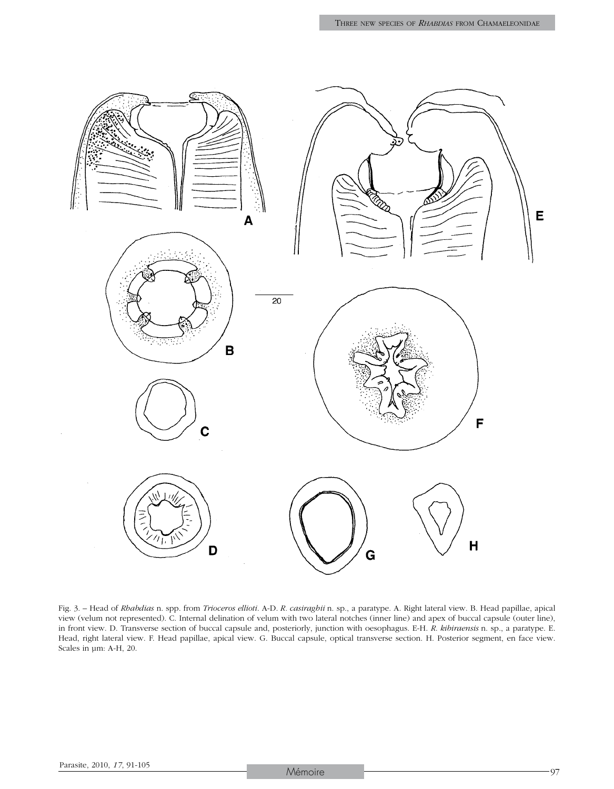

Fig. 3. – Head of *Rhabdias* n. spp. from *Trioceros ellioti*. A-D. *R. casiraghii* n. sp., a paratype. A. Right lateral view. B. Head papillae, apical view (velum not represented). C. Internal delination of velum with two lateral notches (inner line) and apex of buccal capsule (outer line), in front view. D. Transverse section of buccal capsule and, posteriorly, junction with oesophagus. E-H. *R*. *kibiraensis* n. sp., a paratype. E. Head, right lateral view. F. Head papillae, apical view. G. Buccal capsule, optical transverse section. H. Posterior segment, en face view. Scales in µm: A-H, 20.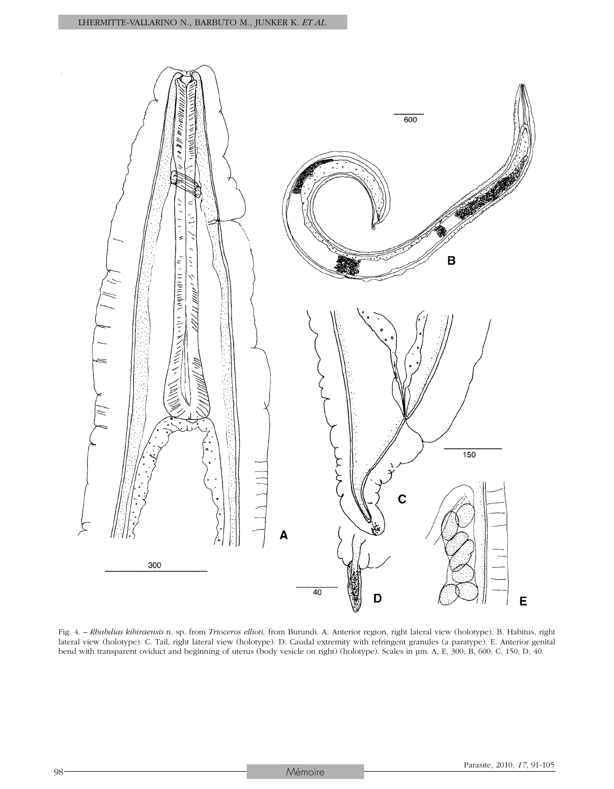

Fig. 4. – *Rhabdias kibiraensis* n. sp. from *Trioceros ellioti,* from Burundi. A. Anterior region, right lateral view (holotype). B. Habitus, right lateral view (holotype). C. Tail, right lateral view (holotype). D. Caudal extremity with refringent granules (a paratype). E. Anterior genital bend with transparent oviduct and beginning of uterus (body vesicle on right) (holotype). Scales in µm: A, E, 300; B, 600; C, 150; D, 40.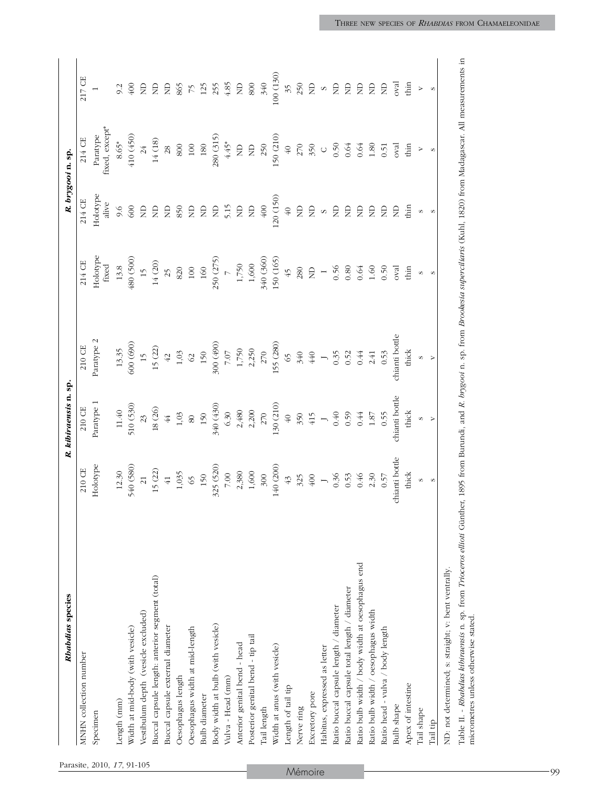|                            | Rhabdias species                                                                                                                                                                                |                                                                      | R. kibiraensis n. sp.                                    |                                                                                                                                                                                                                                                                                               |                                                                                             |                                                                                                | R. brygooi n. sp.                              |                                                                                                                                                                                                                                                                                                                                                                                                                    |
|----------------------------|-------------------------------------------------------------------------------------------------------------------------------------------------------------------------------------------------|----------------------------------------------------------------------|----------------------------------------------------------|-----------------------------------------------------------------------------------------------------------------------------------------------------------------------------------------------------------------------------------------------------------------------------------------------|---------------------------------------------------------------------------------------------|------------------------------------------------------------------------------------------------|------------------------------------------------|--------------------------------------------------------------------------------------------------------------------------------------------------------------------------------------------------------------------------------------------------------------------------------------------------------------------------------------------------------------------------------------------------------------------|
|                            | MNHN collection number                                                                                                                                                                          | 210 CE                                                               | $210 \, \text{CE}$                                       | $210\,$ CE                                                                                                                                                                                                                                                                                    | 214 CE                                                                                      | 214 CE                                                                                         | $214$ CE                                       | 217 CE                                                                                                                                                                                                                                                                                                                                                                                                             |
| Parasite, 2010, 17, 91-105 | Specimen                                                                                                                                                                                        | Holotype                                                             | Paratype 1                                               | Paratype 2                                                                                                                                                                                                                                                                                    | Holotype<br>fixed                                                                           | Holotype<br>alive                                                                              | Paratype<br>fixed, except*                     |                                                                                                                                                                                                                                                                                                                                                                                                                    |
|                            | Length (mm)                                                                                                                                                                                     | 12.30                                                                |                                                          |                                                                                                                                                                                                                                                                                               | $13.8\,$                                                                                    | 9.6                                                                                            | $8.65*$                                        |                                                                                                                                                                                                                                                                                                                                                                                                                    |
|                            | Width at mid-body (with vesicle)                                                                                                                                                                | 540 (580)                                                            | $11.40$<br>510 (530)                                     | $13.35$<br>$600 (690)$                                                                                                                                                                                                                                                                        | 480 (500)                                                                                   | 600                                                                                            | (450)                                          | 9.2 $\frac{3}{400}$                                                                                                                                                                                                                                                                                                                                                                                                |
|                            | Vestibulum depth (vesicle excluded)                                                                                                                                                             | $\overline{21}$                                                      | 23                                                       | $\overline{12}$                                                                                                                                                                                                                                                                               | $\overline{15}$                                                                             | $\Xi$                                                                                          | $\frac{24}{5}$                                 | $222258728888288$                                                                                                                                                                                                                                                                                                                                                                                                  |
|                            | Buccal capsule length: anterior segment (total)                                                                                                                                                 | 15(22)                                                               | $18\ (26)$                                               | 15(22)                                                                                                                                                                                                                                                                                        | $14\ (20)$                                                                                  |                                                                                                | $14\ (18)$                                     |                                                                                                                                                                                                                                                                                                                                                                                                                    |
|                            | Buccal capsule external diameter                                                                                                                                                                | $41$                                                                 | $\frac{44}{3}$                                           |                                                                                                                                                                                                                                                                                               | $\overline{25}$                                                                             |                                                                                                | 28                                             |                                                                                                                                                                                                                                                                                                                                                                                                                    |
|                            | Oesophagus length                                                                                                                                                                               | $1,035$<br>65<br>150                                                 | $1,03$ 80                                                |                                                                                                                                                                                                                                                                                               | 820                                                                                         | $288$                                                                                          | $800\,$                                        |                                                                                                                                                                                                                                                                                                                                                                                                                    |
|                            | Oesophagus width at mid-length                                                                                                                                                                  |                                                                      |                                                          |                                                                                                                                                                                                                                                                                               |                                                                                             |                                                                                                | $100\,$                                        |                                                                                                                                                                                                                                                                                                                                                                                                                    |
|                            | Bulb diameter                                                                                                                                                                                   |                                                                      |                                                          |                                                                                                                                                                                                                                                                                               |                                                                                             |                                                                                                | $180\,$                                        |                                                                                                                                                                                                                                                                                                                                                                                                                    |
|                            | Body width at bulb (with vesicle)                                                                                                                                                               | $\begin{array}{c} 325 \ (520) \\ 7.00 \\ 2.380 \\ 1,600 \end{array}$ | 150<br>340 (430)<br>6.30<br>$6,30$<br>2,480<br>2,200     | 42<br>1,03<br>62<br>50<br>50<br>50<br>7,750<br>7,750<br>7,750<br>7,750<br>7,850<br>7,93<br>7,93<br>7,93<br>7,93<br>7,07<br>7,1550<br>7,1550<br>7,1550<br>7,1550<br>7,1550<br>7,1550<br>7,1550<br>7,1550<br>7,1550<br>7,1550<br>7,1550<br>7,1550<br>7,1550<br>7,1550<br>7,1550<br>7,1550<br>7, | 100<br>160<br>160<br>250 (275)<br>7<br>1,750<br>1600<br>340 (360)<br>340 (360)<br>150 (165) | $\begin{array}{cccccc} \Xi & \Xi & \Xi & \Xi & \Xi \\ \Xi & \Xi & \Xi & \Xi & \Xi \end{array}$ | 280 (315)<br>4.45*<br>ND                       |                                                                                                                                                                                                                                                                                                                                                                                                                    |
|                            | Vulva - Head (mm)                                                                                                                                                                               |                                                                      |                                                          |                                                                                                                                                                                                                                                                                               |                                                                                             |                                                                                                |                                                |                                                                                                                                                                                                                                                                                                                                                                                                                    |
|                            | Anterior genital bend - head                                                                                                                                                                    |                                                                      |                                                          |                                                                                                                                                                                                                                                                                               |                                                                                             |                                                                                                |                                                |                                                                                                                                                                                                                                                                                                                                                                                                                    |
|                            | Posterior genital bend - tip tail                                                                                                                                                               |                                                                      |                                                          |                                                                                                                                                                                                                                                                                               |                                                                                             | $\Xi$                                                                                          |                                                | $800\,$                                                                                                                                                                                                                                                                                                                                                                                                            |
|                            | Tail length                                                                                                                                                                                     | 300                                                                  | $270\,$                                                  |                                                                                                                                                                                                                                                                                               |                                                                                             | $400\,$                                                                                        | $\overline{250}$                               | 340                                                                                                                                                                                                                                                                                                                                                                                                                |
|                            | Width at anus (with vesicle)                                                                                                                                                                    | 140 $(200)$                                                          | $130\ (210)$                                             |                                                                                                                                                                                                                                                                                               |                                                                                             | 120 (150)                                                                                      | 150 (210)                                      | 100(130)                                                                                                                                                                                                                                                                                                                                                                                                           |
|                            | Length of tail tip                                                                                                                                                                              | 43                                                                   | $40\,$                                                   |                                                                                                                                                                                                                                                                                               | 45                                                                                          | $\oplus$ $\cong$                                                                               | $40$                                           | $\mathfrak{Z}$                                                                                                                                                                                                                                                                                                                                                                                                     |
| Mémoire                    | Nerve ring                                                                                                                                                                                      | 325                                                                  | $350$<br>415                                             |                                                                                                                                                                                                                                                                                               | 280                                                                                         |                                                                                                | 270<br>350                                     | $^{250}$ $\rm \stackrel{\textstyle >}{\textstyle \sim}$                                                                                                                                                                                                                                                                                                                                                            |
|                            | Excretory pore                                                                                                                                                                                  | $400\,$                                                              |                                                          |                                                                                                                                                                                                                                                                                               | $\Xi$                                                                                       | $\Xi$                                                                                          |                                                |                                                                                                                                                                                                                                                                                                                                                                                                                    |
|                            | Habitus, expressed as letter                                                                                                                                                                    |                                                                      |                                                          |                                                                                                                                                                                                                                                                                               |                                                                                             | $\infty$                                                                                       | $\circ$                                        |                                                                                                                                                                                                                                                                                                                                                                                                                    |
|                            | Ratio buccal capsule length / diameter                                                                                                                                                          |                                                                      |                                                          |                                                                                                                                                                                                                                                                                               |                                                                                             |                                                                                                |                                                |                                                                                                                                                                                                                                                                                                                                                                                                                    |
|                            | Ratio buccal capsule total length / diameter                                                                                                                                                    | $\begin{array}{c} 1 \\ 0.36 \\ 0.53 \end{array}$                     | $\begin{array}{c} 1 \\ 0.40 \\ 0.59 \\ 0.44 \end{array}$ | $\begin{array}{c} 1 \\ 0.35 \\ 0.52 \\ 0.44 \\ 0.41 \\ 0.53 \end{array}$                                                                                                                                                                                                                      | $\frac{1}{0.56}$<br>0.80<br>0.64                                                            | E E E                                                                                          | $0.50$<br>$0.64$<br>$0.64$<br>$1.80$<br>$1.80$ |                                                                                                                                                                                                                                                                                                                                                                                                                    |
|                            | Ratio bulb width / body width at oesophagus end                                                                                                                                                 | 0.46                                                                 |                                                          |                                                                                                                                                                                                                                                                                               |                                                                                             |                                                                                                |                                                |                                                                                                                                                                                                                                                                                                                                                                                                                    |
|                            | Ratio bulb width / oesophagus width                                                                                                                                                             |                                                                      | $1.87$<br>0.55                                           |                                                                                                                                                                                                                                                                                               |                                                                                             | $\mathrel{\mathop{\boxtimes}}$                                                                 |                                                |                                                                                                                                                                                                                                                                                                                                                                                                                    |
|                            | Ratio head - vulva / body length                                                                                                                                                                | $2.30$<br>0.57                                                       |                                                          |                                                                                                                                                                                                                                                                                               | $1.60$<br>0.50                                                                              | $\mathsf{B}$                                                                                   |                                                |                                                                                                                                                                                                                                                                                                                                                                                                                    |
|                            | <b>Bulb</b> shape                                                                                                                                                                               | chianti bottle                                                       | chianti bottle                                           | chianti bottle                                                                                                                                                                                                                                                                                | $_{\rm oval}$                                                                               | $\infty$                                                                                       | oval                                           | $\begin{array}{c} \circ \\ \circ \\ \circ \\ \circ \\ \end{array} \begin{array}{c} \circ \\ \circ \\ \circ \\ \end{array} \begin{array}{c} \circ \\ \circ \\ \circ \\ \end{array} \begin{array}{c} \circ \\ \circ \\ \circ \\ \end{array} \begin{array}{c} \circ \\ \circ \\ \circ \\ \end{array} \begin{array}{c} \circ \\ \circ \\ \circ \\ \end{array} \begin{array}{c} \circ \\ \circ \\ \circ \\ \end{array}$ |
|                            | Apex of intestine                                                                                                                                                                               | thick                                                                | thick                                                    | thick                                                                                                                                                                                                                                                                                         | thin                                                                                        | thin                                                                                           | thin                                           |                                                                                                                                                                                                                                                                                                                                                                                                                    |
|                            | Tail shape                                                                                                                                                                                      | $\circ$                                                              | $\circ$                                                  | $\circ$                                                                                                                                                                                                                                                                                       | $\circ$                                                                                     | $\circ$                                                                                        | $\geq$                                         | $\overline{a}$                                                                                                                                                                                                                                                                                                                                                                                                     |
|                            | Tail tip                                                                                                                                                                                        | $\sim$                                                               |                                                          | $\triangleright$                                                                                                                                                                                                                                                                              | $\infty$                                                                                    |                                                                                                | $\infty$                                       | $\sim$                                                                                                                                                                                                                                                                                                                                                                                                             |
|                            | ND: not determined; s: straight; v: bent ventrally.                                                                                                                                             |                                                                      |                                                          |                                                                                                                                                                                                                                                                                               |                                                                                             |                                                                                                |                                                |                                                                                                                                                                                                                                                                                                                                                                                                                    |
|                            | Table II. - Rhabdias kibiraensis n. sp. from Trioceros ellioti Günther, 1895 from Burundi, and R. brygooi n. sp. from Brookesia superciliaris (Kuhl, 1820) from Madagascar. All measurements in |                                                                      |                                                          |                                                                                                                                                                                                                                                                                               |                                                                                             |                                                                                                |                                                |                                                                                                                                                                                                                                                                                                                                                                                                                    |
|                            | micrometres unless otherwise stated.                                                                                                                                                            |                                                                      |                                                          |                                                                                                                                                                                                                                                                                               |                                                                                             |                                                                                                |                                                |                                                                                                                                                                                                                                                                                                                                                                                                                    |
|                            |                                                                                                                                                                                                 |                                                                      |                                                          |                                                                                                                                                                                                                                                                                               |                                                                                             |                                                                                                |                                                |                                                                                                                                                                                                                                                                                                                                                                                                                    |
|                            |                                                                                                                                                                                                 |                                                                      |                                                          |                                                                                                                                                                                                                                                                                               |                                                                                             |                                                                                                |                                                |                                                                                                                                                                                                                                                                                                                                                                                                                    |
|                            |                                                                                                                                                                                                 |                                                                      |                                                          |                                                                                                                                                                                                                                                                                               |                                                                                             |                                                                                                |                                                |                                                                                                                                                                                                                                                                                                                                                                                                                    |
| 99                         |                                                                                                                                                                                                 |                                                                      |                                                          |                                                                                                                                                                                                                                                                                               |                                                                                             |                                                                                                |                                                |                                                                                                                                                                                                                                                                                                                                                                                                                    |

Table II. - *Rhabdias kibiraensis* n. sp. from *Trioceros ellioti* Günther, 1895 from Burundi, and *R. brygooi* n. sp. from *Brookesia superciliaris* ( Kuhl, 1820) from Madagascar. All measurements in micrometres unless otherwise stated.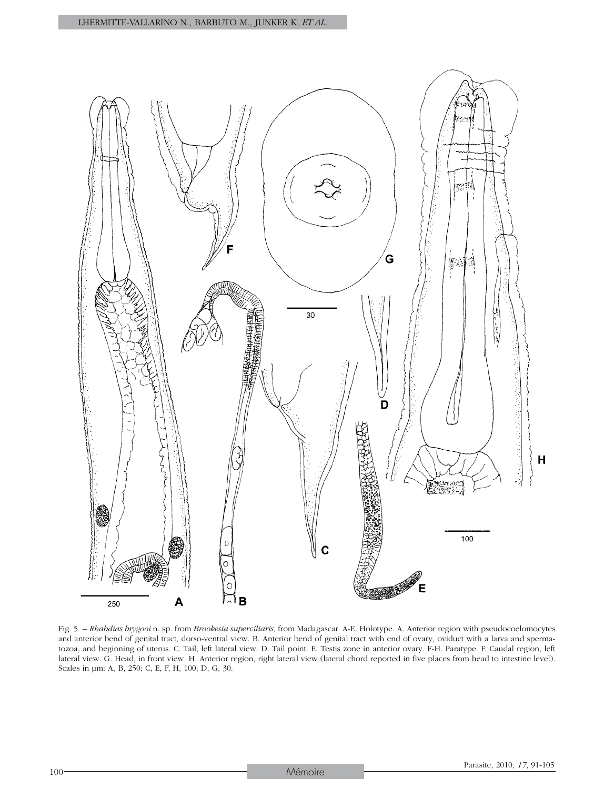

Fig. 5. – *Rhabdias brygooi* n. sp. from *Brookesia superciliaris,* from Madagascar. A-E. Holotype. A. Anterior region with pseudocoelomocytes and anterior bend of genital tract, dorso-ventral view. B. Anterior bend of genital tract with end of ovary, oviduct with a larva and spermatozoa, and beginning of uterus. C. Tail, left lateral view. D. Tail point. E. Testis zone in anterior ovary. F-H. Paratype. F. Caudal region, left lateral view. G. Head, in front view. H. Anterior region, right lateral view (lateral chord reported in five places from head to intestine level). Scales in µm: A, B, 250; C, E, F, H, 100; D, G, 30.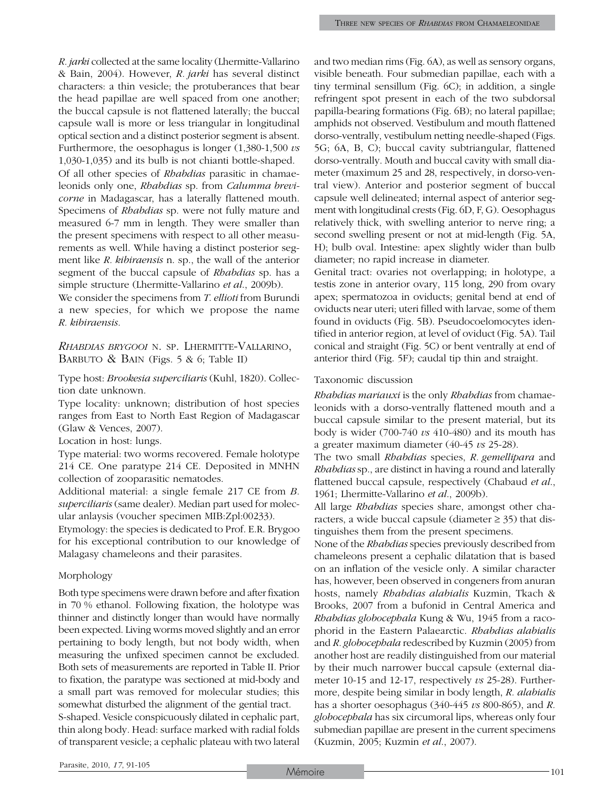*R. jarki* collected at the same locality (Lhermitte-Vallarino & Bain, 2004). However, *R. jarki* has several distinct characters: a thin vesicle; the protuberances that bear the head papillae are well spaced from one another; the buccal capsule is not flattened laterally; the buccal capsule wall is more or less triangular in longitudinal optical section and a distinct posterior segment is absent. Furthermore, the oesophagus is longer (1,380-1,500 *vs* 1,030-1,035) and its bulb is not chianti bottle-shaped. Of all other species of *Rhabdias* parasitic in chamaeleonids only one, *Rhabdias* sp. from *Calumma brevicorne* in Madagascar, has a laterally flattened mouth. Specimens of *Rhabdias* sp. were not fully mature and measured 6-7 mm in length. They were smaller than the present specimens with respect to all other measurements as well. While having a distinct posterior segment like *R. kibiraensis* n. sp., the wall of the anterior segment of the buccal capsule of *Rhabdias* sp. has a simple structure (Lhermitte-Vallarino *et al*., 2009b).

We consider the specimens from *T. ellioti* from Burundi a new species, for which we propose the name *R. kibiraensis*.

*Rhabdias brygooi* n. sp. Lhermitte-Vallarino, Barbuto & Bain (Figs. 5 & 6; Table II)

Type host: *Brookesia superciliaris* (Kuhl, 1820). Collection date unknown.

Type locality: unknown; distribution of host species ranges from East to North East Region of Madagascar (Glaw & Vences, 2007).

Location in host: lungs.

Type material: two worms recovered. Female holotype 214 CE. One paratype 214 CE. Deposited in MNHN collection of zooparasitic nematodes.

Additional material: a single female 217 CE from *B. superciliaris* (same dealer). Median part used for molecular anlaysis (voucher specimen MIB:Zpl:00233).

Etymology: the species is dedicated to Prof. E.R. Brygoo for his exceptional contribution to our knowledge of Malagasy chameleons and their parasites.

## Morphology

Both type specimens were drawn before and after fixation in 70 % ethanol. Following fixation, the holotype was thinner and distinctly longer than would have normally been expected. Living worms moved slightly and an error pertaining to body length, but not body width, when measuring the unfixed specimen cannot be excluded. Both sets of measurements are reported in Table II. Prior to fixation, the paratype was sectioned at mid-body and a small part was removed for molecular studies; this somewhat disturbed the alignment of the gential tract. S-shaped. Vesicle conspicuously dilated in cephalic part, thin along body. Head: surface marked with radial folds of transparent vesicle; a cephalic plateau with two lateral and two median rims (Fig. 6A), as well as sensory organs, visible beneath. Four submedian papillae, each with a tiny terminal sensillum (Fig. 6C); in addition, a single refringent spot present in each of the two subdorsal papilla-bearing formations (Fig. 6B); no lateral papillae; amphids not observed. Vestibulum and mouth flattened dorso-ventrally, vestibulum netting needle-shaped (Figs. 5G; 6A, B, C); buccal cavity subtriangular, flattened dorso-ventrally. Mouth and buccal cavity with small diameter (maximum 25 and 28, respectively, in dorso-ventral view). Anterior and posterior segment of buccal capsule well delineated; internal aspect of anterior segment with longitudinal crests (Fig. 6D, F, G). Oesophagus relatively thick, with swelling anterior to nerve ring; a second swelling present or not at mid-length (Fig. 5A, H); bulb oval. Intestine: apex slightly wider than bulb diameter; no rapid increase in diameter.

Genital tract: ovaries not overlapping; in holotype, a testis zone in anterior ovary, 115 long, 290 from ovary apex; spermatozoa in oviducts; genital bend at end of oviducts near uteri; uteri filled with larvae, some of them found in oviducts (Fig. 5B). Pseudocoelomocytes identified in anterior region, at level of oviduct (Fig. 5A). Tail conical and straight (Fig. 5C) or bent ventrally at end of anterior third (Fig. 5F); caudal tip thin and straight.

#### Taxonomic discussion

*Rhabdias mariauxi* is the only *Rhabdias* from chamaeleonids with a dorso-ventrally flattened mouth and a buccal capsule similar to the present material, but its body is wider (700-740 *vs* 410-480) and its mouth has a greater maximum diameter (40-45 *vs* 25-28).

The two small *Rhabdias* species, *R. gemellipara* and *Rhabdias* sp., are distinct in having a round and laterally flattened buccal capsule, respectively (Chabaud *et al*., 1961; Lhermitte-Vallarino *et al*., 2009b).

All large *Rhabdias* species share, amongst other characters, a wide buccal capsule (diameter  $\ge$  35) that distinguishes them from the present specimens.

None of the *Rhabdias* species previously described from chameleons present a cephalic dilatation that is based on an inflation of the vesicle only. A similar character has, however, been observed in congeners from anuran hosts, namely *Rhabdias alabialis* Kuzmin, Tkach & Brooks, 2007 from a bufonid in Central America and *Rhabdias globocephala* Kung & Wu, 1945 from a racophorid in the Eastern Palaearctic. *Rhabdias alabialis* and *R. globocephala* redescribed by Kuzmin (2005) from another host are readily distinguished from our material by their much narrower buccal capsule (external diameter 10-15 and 12-17, respectively *vs* 25-28). Furthermore, despite being similar in body length, *R. alabialis* has a shorter oesophagus (340-445 *vs* 800-865), and *R. globocephala* has six circumoral lips, whereas only four submedian papillae are present in the current specimens (Kuzmin, 2005; Kuzmin *et al*., 2007).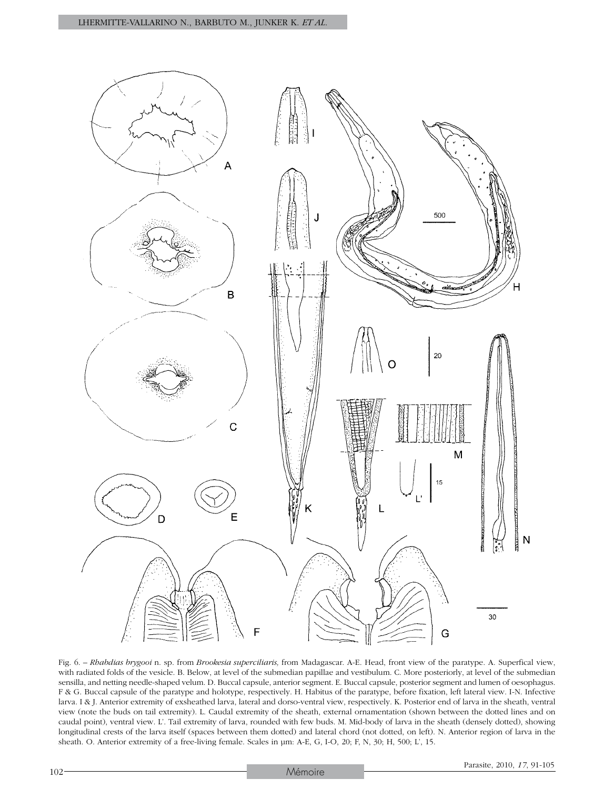

Fig. 6. – *Rhabdias brygooi* n. sp. from *Brookesia superciliaris,* from Madagascar. A-E. Head, front view of the paratype. A. Superfical view, with radiated folds of the vesicle. B. Below, at level of the submedian papillae and vestibulum. C. More posteriorly, at level of the submedian sensilla, and netting needle-shaped velum. D. Buccal capsule, anterior segment. E. Buccal capsule, posterior segment and lumen of oesophagus. F & G. Buccal capsule of the paratype and holotype, respectively. H. Habitus of the paratype, before fixation, left lateral view. I-N. Infective larva. I & J. Anterior extremity of exsheathed larva, lateral and dorso-ventral view, respectively. K. Posterior end of larva in the sheath, ventral view (note the buds on tail extremity). L. Caudal extremity of the sheath, external ornamentation (shown between the dotted lines and on caudal point), ventral view. L'. Tail extremity of larva, rounded with few buds. M. Mid-body of larva in the sheath (densely dotted), showing longitudinal crests of the larva itself (spaces between them dotted) and lateral chord (not dotted, on left). N. Anterior region of larva in the sheath. O. Anterior extremity of a free-living female. Scales in µm: A-E, G, I-O, 20; F, N, 30; H, 500; L', 15.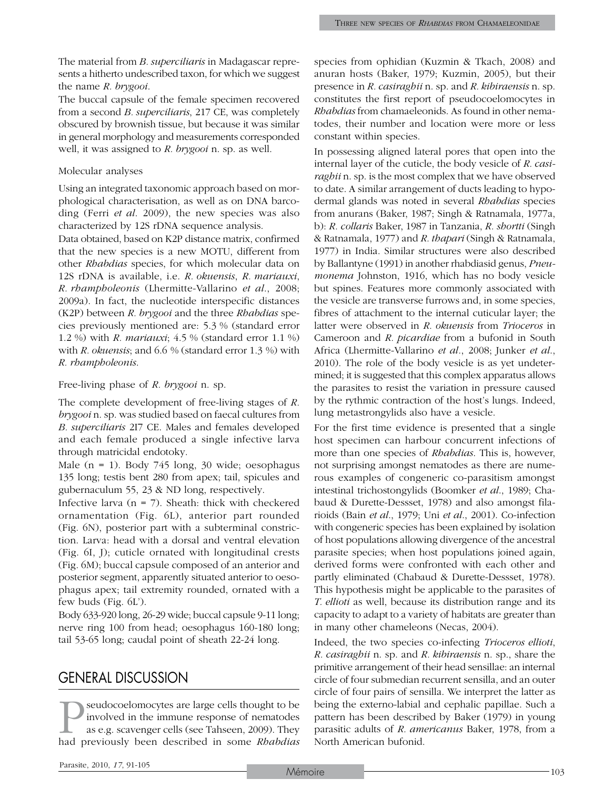The material from *B. superciliaris* in Madagascar represents a hitherto undescribed taxon, for which we suggest the name *R. brygooi*.

The buccal capsule of the female specimen recovered from a second *B. superciliaris*, 217 CE, was completely obscured by brownish tissue, but because it was similar in general morphology and measurements corresponded well, it was assigned to *R. brygooi* n. sp. as well.

#### Molecular analyses

Using an integrated taxonomic approach based on morphological characterisation, as well as on DNA barcoding (Ferri *et al*. 2009), the new species was also characterized by 12S rDNA sequence analysis.

Data obtained, based on K2P distance matrix, confirmed that the new species is a new MOTU, different from other *Rhabdias* species, for which molecular data on 12S rDNA is available, i.e. *R. okuensis*, *R. mariauxi*, *R. rhampholeonis* (Lhermitte-Vallarino *et al*., 2008; 2009a). In fact, the nucleotide interspecific distances (K2P) between *R. brygooi* and the three *Rhabdias* species previously mentioned are: 5.3 % (standard error 1.2 %) with *R. mariauxi*; 4.5 % (standard error 1.1 %) with *R. okuensis*; and 6.6 % (standard error 1.3 %) with *R. rhampholeonis*.

Free-living phase of *R. brygooi* n. sp.

The complete development of free-living stages of *R. brygooi* n. sp. was studied based on faecal cultures from *B. superciliaris* 2I7 CE. Males and females developed and each female produced a single infective larva through matricidal endotoky.

Male (n = 1). Body 745 long, 30 wide; oesophagus 135 long; testis bent 280 from apex; tail, spicules and gubernaculum 55, 23 & ND long, respectively.

Infective larva ( $n = 7$ ). Sheath: thick with checkered ornamentation (Fig. 6L), anterior part rounded (Fig. 6N), posterior part with a subterminal constriction. Larva: head with a dorsal and ventral elevation (Fig. 6I, J); cuticle ornated with longitudinal crests (Fig. 6M); buccal capsule composed of an anterior and posterior segment, apparently situated anterior to oesophagus apex; tail extremity rounded, ornated with a few buds (Fig. 6L').

Body 633-920 long, 26-29 wide; buccal capsule 9-11 long; nerve ring 100 from head; oesophagus 160-180 long; tail 53-65 long; caudal point of sheath 22-24 long.

## General Discussion

seudocoelomocytes are large cells thought to be involved in the immune response of nematodes as e.g. scavenger cells (see Tahseen, 2009). They had previously been described in some *Rhabdias* species from ophidian (Kuzmin & Tkach, 2008) and anuran hosts (Baker, 1979; Kuzmin, 2005), but their presence in *R. casiraghii* n. sp. and *R. kibiraensis* n. sp. constitutes the first report of pseudocoelomocytes in *Rhabdias* from chamaeleonids. As found in other nematodes, their number and location were more or less constant within species.

In possessing aligned lateral pores that open into the internal layer of the cuticle, the body vesicle of *R. casiraghii* n. sp. is the most complex that we have observed to date. A similar arrangement of ducts leading to hypodermal glands was noted in several *Rhabdias* species from anurans (Baker, 1987; Singh & Ratnamala, 1977a, b): *R. collaris* Baker, 1987 in Tanzania, *R. shortti* (Singh & Ratnamala, 1977) and *R. thapari* (Singh & Ratnamala, 1977) in India. Similar structures were also described by Ballantyne (1991) in another rhabdiasid genus, *Pneumonema* Johnston, 1916, which has no body vesicle but spines. Features more commonly associated with the vesicle are transverse furrows and, in some species, fibres of attachment to the internal cuticular layer; the latter were observed in *R. okuensis* from *Trioceros* in Cameroon and *R. picardiae* from a bufonid in South Africa (Lhermitte-Vallarino *et al.*, 2008; Junker *et al*., 2010). The role of the body vesicle is as yet undetermined; it is suggested that this complex apparatus allows the parasites to resist the variation in pressure caused by the rythmic contraction of the host's lungs. Indeed, lung metastrongylids also have a vesicle.

For the first time evidence is presented that a single host specimen can harbour concurrent infections of more than one species of *Rhabdias*. This is, however, not surprising amongst nematodes as there are numerous examples of congeneric co-parasitism amongst intestinal trichostongylids (Boomker *et al*., 1989; Chabaud & Durette-Dessset, 1978) and also amongst filarioids (Bain *et al*., 1979; Uni *et al*., 2001). Co-infection with congeneric species has been explained by isolation of host populations allowing divergence of the ancestral parasite species; when host populations joined again, derived forms were confronted with each other and partly eliminated (Chabaud & Durette-Dessset, 1978). This hypothesis might be applicable to the parasites of *T. ellioti* as well, because its distribution range and its capacity to adapt to a variety of habitats are greater than in many other chameleons (Necas, 2004).

Indeed, the two species co-infecting *Trioceros ellioti*, *R. casiraghii* n. sp. and *R. kibiraensis* n. sp., share the primitive arrangement of their head sensillae: an internal circle of four submedian recurrent sensilla, and an outer circle of four pairs of sensilla. We interpret the latter as being the externo-labial and cephalic papillae. Such a pattern has been described by Baker (1979) in young parasitic adults of *R. americanus* Baker, 1978, from a North American bufonid.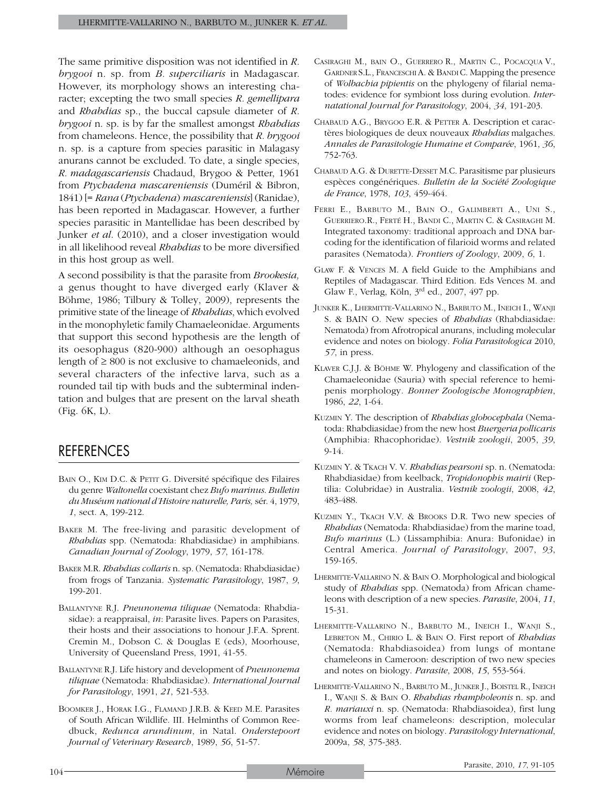The same primitive disposition was not identified in *R. brygooi* n. sp. from *B. superciliaris* in Madagascar. However, its morphology shows an interesting character; excepting the two small species *R. gemellipara* and *Rhabdias* sp., the buccal capsule diameter of *R. brygooi* n. sp. is by far the smallest amongst *Rhabdias* from chameleons. Hence, the possibility that *R. brygooi* n. sp. is a capture from species parasitic in Malagasy anurans cannot be excluded. To date, a single species, *R. madagascariensis* Chadaud, Brygoo & Petter, 1961 from *Ptychadena mascareniensis* (Duméril & Bibron, 1841) [= *Rana* (*Ptychadena*) *mascareniensis*] (Ranidae), has been reported in Madagascar. However, a further species parasitic in Mantellidae has been described by Junker *et al*. (2010), and a closer investigation would in all likelihood reveal *Rhabdias* to be more diversified in this host group as well.

A second possibility is that the parasite from *Brookesia,* a genus thought to have diverged early (Klaver & Böhme, 1986; Tilbury & Tolley, 2009), represents the primitive state of the lineage of *Rhabdias*, which evolved in the monophyletic family Chamaeleonidae. Arguments that support this second hypothesis are the length of its oesophagus (820-900) although an oesophagus length of  $\geq 800$  is not exclusive to chamaeleonids, and several characters of the infective larva, such as a rounded tail tip with buds and the subterminal indentation and bulges that are present on the larval sheath (Fig. 6K, L).

# **REFERENCES**

- BAIN O., KIM D.C. & PETIT G. Diversité spécifique des Filaires du genre *Waltonella* coexistant chez *Bufo marinus*. *Bulletin du Muséum national d'Histoire naturelle, Paris,* sér. 4, 1979, *1*, sect. A, 199-212.
- Baker M. The free-living and parasitic development of *Rhabdias* spp. (Nematoda: Rhabdiasidae) in amphibians. *Canadian Journal of Zoology*, 1979, *57*, 161-178.
- Baker M.R. *Rhabdias collaris* n. sp. (Nematoda: Rhabdiasidae) from frogs of Tanzania. *Systematic Parasitology*, 1987, *9*, 199-201.
- Ballantyne R.J. *Pneunonema tiliquae* (Nematoda: Rhabdiasidae): a reappraisal, *in*: Parasite lives. Papers on Parasites, their hosts and their associations to honour J.F.A. Sprent. Cremin M., Dobson C. & Douglas E (eds), Moorhouse, University of Queensland Press, 1991, 41-55.
- Ballantyne R.J. Life history and development of *Pneunonema tiliquae* (Nematoda: Rhabdiasidae). *International Journal for Parasitology*, 1991, *21*, 521-533.
- Boomker J., Horak I.G., Flamand J.R.B. & Keed M.E. Parasites of South African Wildlife. III. Helminths of Common Reedbuck, *Redunca arundinum*, in Natal. *Onderstepoort Journal of Veterinary Research*, 1989, *56*, 51-57.
- Casiraghi M., bain O., Guerrero R., Martin C., Pocacqua V., Gardner S.L., FranceschiA. & BandiC. Mapping the presence of *Wolbachia pipientis* on the phylogeny of filarial nematodes: evidence for symbiont loss during evolution. *Internatational Journal for Parasitology*, 2004, *34*, 191-203.
- Chabaud A.G., Brygoo E.R. & Petter A. Description et caractères biologiques de deux nouveaux *Rhabdias* malgaches. *Annales de Parasitologie Humaine et Comparée*, 1961, *36*, 752-763.
- Chabaud A.G. & Durette-Desset M.C. Parasitisme par plusieurs espèces congénériques. *Bulletin de la Société Zoologique de France*, 1978, *103*, 459-464.
- Ferri E., Barbuto M., Bain O., Galimberti A., Uni S., Guerriero.R., Ferté H., Bandi C., Martin C. & Casiraghi M. Integrated taxonomy: traditional approach and DNA barcoding for the identification of filarioid worms and related parasites (Nematoda). *Frontiers of Zoology*, 2009, *6*, 1.
- Glaw F. & Vences M. A field Guide to the Amphibians and Reptiles of Madagascar. Third Edition. Eds Vences M. and Glaw F., Verlag, Köln, 3rd ed., 2007, 497 pp.
- Junker K., Lhermitte-Vallarino N., Barbuto M., Ineich I., Wanji S. & BAIN O. New species of *Rhabdias* (Rhabdiasidae: Nematoda) from Afrotropical anurans, including molecular evidence and notes on biology. *Folia Parasitologica* 2010, *57*, in press.
- Klaver C.J.J. & Böhme W. Phylogeny and classification of the Chamaeleonidae (Sauria) with special reference to hemipenis morphology. *Bonner Zoologische Monographien*, 1986, *22*, 1-64.
- Kuzmin Y. The description of *Rhabdias globocephala* (Nematoda: Rhabdiasidae) from the new host *Buergeria pollicaris* (Amphibia: Rhacophoridae). *Vestnik zoologii*, 2005, *39*, 9-14.
- Kuzmin Y. & Tkach V. V. *Rhabdias pearsoni* sp. n. (Nematoda: Rhabdiasidae) from keelback, *Tropidonophis mairii* (Reptilia: Colubridae) in Australia. *Vestnik zoologii*, 2008, *42*, 483-488.
- KUZMIN Y., TKACH V.V. & BROOKS D.R. Two new species of *Rhabdias* (Nematoda: Rhabdiasidae) from the marine toad, *Bufo marinus* (L.) (Lissamphibia: Anura: Bufonidae) in Central America. *Journal of Parasitology*, 2007, *93*, 159-165.
- Lhermitte-Vallarino N. & Bain O. Morphological and biological study of *Rhabdias* spp. (Nematoda) from African chameleons with description of a new species. *Parasite*, 2004, *11*, 15-31.
- Lhermitte-Vallarino N., Barbuto M., Ineich I., Wanji S., Lebreton M., Chirio L. & Bain O. First report of *Rhabdias*  (Nematoda: Rhabdiasoidea) from lungs of montane chameleons in Cameroon: description of two new species and notes on biology. *Parasite*, 2008, *15*, 553-564.
- Lhermitte-Vallarino N., Barbuto M., Junker J., Boistel R., Ineich I., Wanji S. & Bain O. *Rhabdias rhampholeonis* n. sp. and *R. mariauxi* n. sp. (Nematoda: Rhabdiasoidea), first lung worms from leaf chameleons: description, molecular evidence and notes on biology. *Parasitology International*, 2009a, *58*, 375-383.